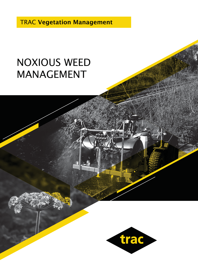TRAC Vegetation Management

## NOXIOUS WEED MANAGEMENT

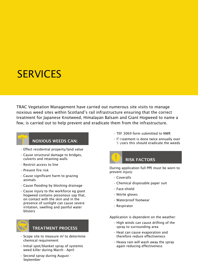## **SERVICES**

TRAC Vegetation Management have carried out numerous site visits to manage noxious weed sites within Scotland's rail infrastructure ensuring that the correct treatment for Japanese Knotweed, Himalayan Balsam and Giant Hogweed to name a few, is carried out to help prevent and eradicate them from the infrastructure.



#### NOXIOUS WEEDS CAN:

- Effect residential property/land value
- Cause structural damage to bridges, culverts and retaining walls
- Restrict access to line
- Present fire risk
- Cause significant harm to grazing animals
- Cause flooding by blocking drainage
- Cause injury to the workforce eg giant hogweed contains poisonous sap that, on contact with the skin and in the presence of sunlight can cause severe irritation, swelling and painful water blisters



### TREATMENT PROCESS

- $\cdot$  Scope site to measure m<sup>2</sup> to determine chemical requirement
- Initial spot/blanket spray of systemic weed killer during March - April
- Second spray during August September
- TEF 3069 form submitted to NWR
- $\cdot$  If treatment is done twice annually over 5 years this should eradicate the weeds



During application full PPE must be worn to prevent injury:

- Coveralls
- Chemical disposable paper suit
- Face-shield
- Nitrile gloves
- Waterproof footwear
- Respirator

Application is dependent on the weather:

- High winds can cause drifting of the spray to surrounding area
- Heat can cause evaporation and therefore reduce effectiveness
- Heavy rain will wash away the spray again reducing effectiveness